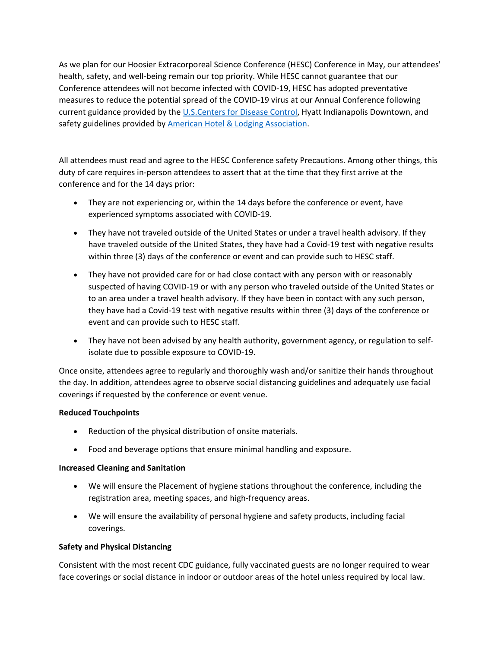As we plan for our Hoosier Extracorporeal Science Conference (HESC) Conference in May, our attendees' health, safety, and well-being remain our top priority. While HESC cannot guarantee that our Conference attendees will not become infected with COVID-19, HESC has adopted preventative measures to reduce the potential spread of the COVID-19 virus at our Annual Conference following current guidance provided by the [U.S.Centers for Disease Control,](https://www.cdc.gov/coronavirus/2019-nCoV/index.html) Hyatt Indianapolis Downtown, and safety guidelines provided by **American Hotel & Lodging Association**.

All attendees must read and agree to the HESC Conference safety Precautions. Among other things, this duty of care requires in-person attendees to assert that at the time that they first arrive at the conference and for the 14 days prior:

- They are not experiencing or, within the 14 days before the conference or event, have experienced symptoms associated with COVID-19.
- They have not traveled outside of the United States or under a travel health advisory. If they have traveled outside of the United States, they have had a Covid-19 test with negative results within three (3) days of the conference or event and can provide such to HESC staff.
- They have not provided care for or had close contact with any person with or reasonably suspected of having COVID-19 or with any person who traveled outside of the United States or to an area under a travel health advisory. If they have been in contact with any such person, they have had a Covid-19 test with negative results within three (3) days of the conference or event and can provide such to HESC staff.
- They have not been advised by any health authority, government agency, or regulation to selfisolate due to possible exposure to COVID-19.

Once onsite, attendees agree to regularly and thoroughly wash and/or sanitize their hands throughout the day. In addition, attendees agree to observe social distancing guidelines and adequately use facial coverings if requested by the conference or event venue.

## **Reduced Touchpoints**

- Reduction of the physical distribution of onsite materials.
- Food and beverage options that ensure minimal handling and exposure.

## **Increased Cleaning and Sanitation**

- We will ensure the Placement of hygiene stations throughout the conference, including the registration area, meeting spaces, and high-frequency areas.
- We will ensure the availability of personal hygiene and safety products, including facial coverings.

## **Safety and Physical Distancing**

Consistent with the most recent CDC guidance, fully vaccinated guests are no longer required to wear face coverings or social distance in indoor or outdoor areas of the hotel unless required by local law.